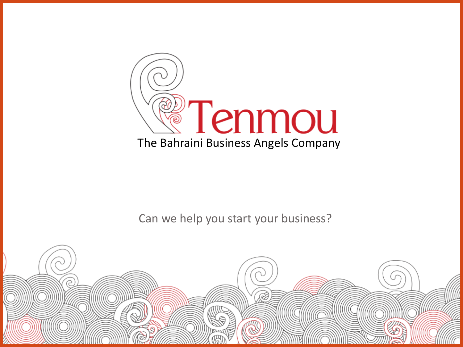

Can we help you start your business?

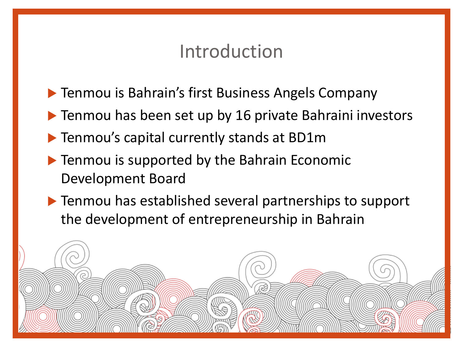### Introduction

- ▶ Tenmou is Bahrain's first Business Angels Company
- ▶ Tenmou has been set up by 16 private Bahraini investors
- Tenmou's capital currently stands at BD1m

- ▶ Tenmou is supported by the Bahrain Economic Development Board
- ▶ Tenmou has established several partnerships to support the development of entrepreneurship in Bahrain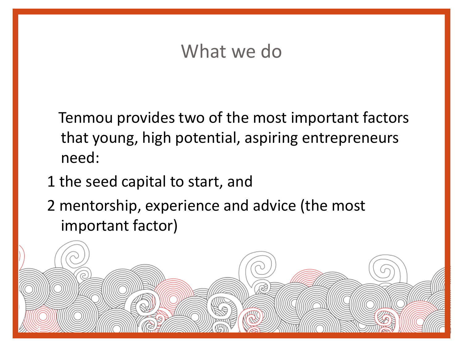## What we do

 Tenmou provides two of the most important factors that young, high potential, aspiring entrepreneurs need:

1 the seed capital to start, and

3

2 mentorship, experience and advice (the most important factor)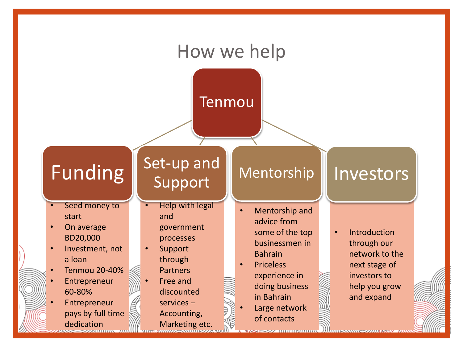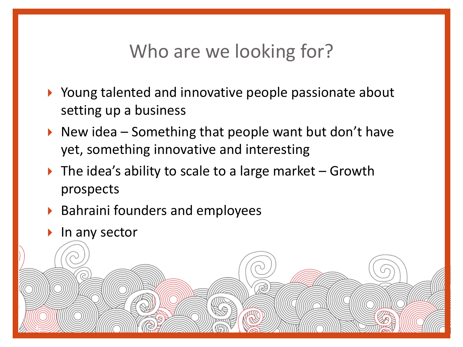# Who are we looking for?

- ▶ Young talented and innovative people passionate about setting up a business
- New idea Something that people want but don't have yet, something innovative and interesting
- $\triangleright$  The idea's ability to scale to a large market Growth prospects
- ▶ Bahraini founders and employees
- $\blacktriangleright$  In any sector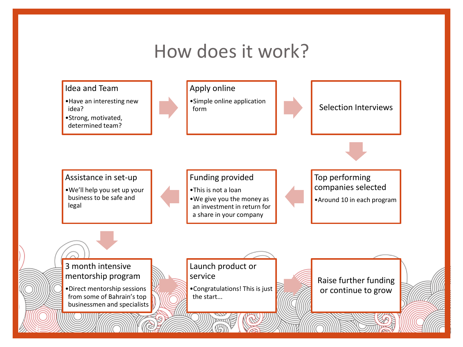## How does it work?

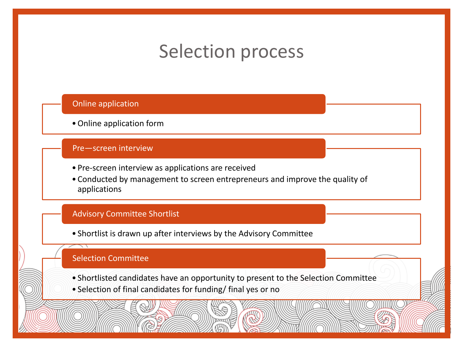# Selection process

#### Online application

•Online application form

#### Pre—screen interview

- Pre-screen interview as applications are received
- Conducted by management to screen entrepreneurs and improve the quality of applications

#### Advisory Committee Shortlist

• Shortlist is drawn up after interviews by the Advisory Committee

#### Selection Committee

- Shortlisted candidates have an opportunity to present to the Selection Committee
- Selection of final candidates for funding/ final yes or no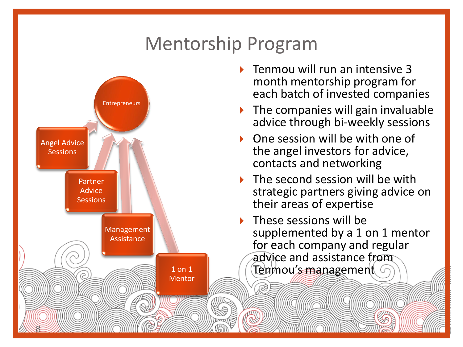# Mentorship Program



- Tenmou will run an intensive 3 month mentorship program for each batch of invested companies
- $\blacktriangleright$  The companies will gain invaluable advice through bi-weekly sessions
- One session will be with one of the angel investors for advice, contacts and networking
- The second session will be with strategic partners giving advice on their areas of expertise
- These sessions will be supplemented by a 1 on 1 mentor for each company and regular advice and assistance from Tenmou<u>'s manag</u>ement (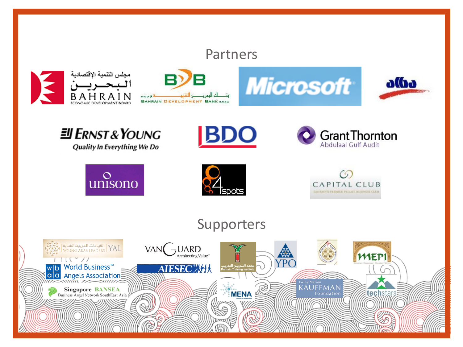### Partners













**JI ERNST & YOUNG** 

Quality In Everything We Do



**BDO** 



### Supporters

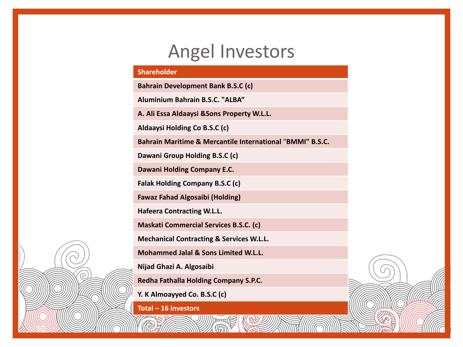### Angel Investors

#### **Shareholder**

**Bahrain Development Bank B.S.C (c)**

**Aluminium Bahrain B.S.C. "ALBA"**

**A. Ali Essa Aldaaysi &Sons Property W.L.L.**

**Aldaaysi Holding Co B.S.C (c)**

**Bahrain Maritime & Mercantile International** "**BMMI" B.S.C.**

**Dawani Group Holding B.S.C (c)**

**Dawani Holding Company E.C.**

**Falak Holding Company B.S.C (c)**

**Fawaz Fahad Algosaibi (Holding)**

**Hafeera Contracting W.L.L.**

**Maskati Commercial Services B.S.C. (c)**

**Mechanical Contracting & Services W.L.L.**

**Mohammed Jalal & Sons Limited W.L.L.**

**Nijad Ghazi A. Algosaibi**

**Redha Fathalla Holding Company S.P.C.**

**Y. K Almoayyed Co. B.S.C (c)**

**Total – 16 investors**